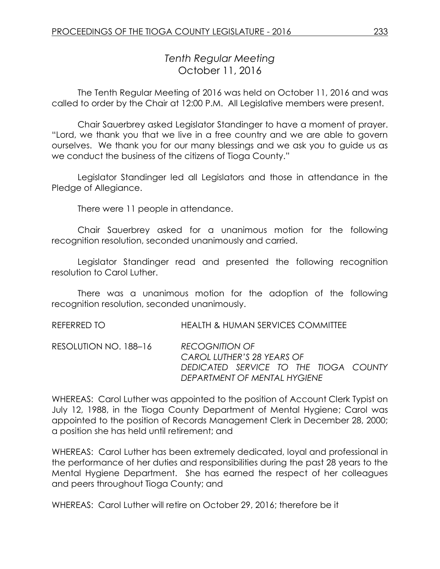# *Tenth Regular Meeting* October 11, 2016

The Tenth Regular Meeting of 2016 was held on October 11, 2016 and was called to order by the Chair at 12:00 P.M. All Legislative members were present.

Chair Sauerbrey asked Legislator Standinger to have a moment of prayer. "Lord, we thank you that we live in a free country and we are able to govern ourselves. We thank you for our many blessings and we ask you to guide us as we conduct the business of the citizens of Tioga County."

Legislator Standinger led all Legislators and those in attendance in the Pledge of Allegiance.

There were 11 people in attendance.

Chair Sauerbrey asked for a unanimous motion for the following recognition resolution, seconded unanimously and carried.

Legislator Standinger read and presented the following recognition resolution to Carol Luther.

There was a unanimous motion for the adoption of the following recognition resolution, seconded unanimously.

REFERRED TO HEALTH & HUMAN SERVICES COMMITTEE

RESOLUTION NO. 188–16 *RECOGNITION OF CAROL LUTHER'S 28 YEARS OF DEDICATED SERVICE TO THE TIOGA COUNTY DEPARTMENT OF MENTAL HYGIENE*

WHEREAS: Carol Luther was appointed to the position of Account Clerk Typist on July 12, 1988, in the Tioga County Department of Mental Hygiene; Carol was appointed to the position of Records Management Clerk in December 28, 2000; a position she has held until retirement; and

WHEREAS: Carol Luther has been extremely dedicated, loyal and professional in the performance of her duties and responsibilities during the past 28 years to the Mental Hygiene Department. She has earned the respect of her colleagues and peers throughout Tioga County; and

WHEREAS: Carol Luther will retire on October 29, 2016; therefore be it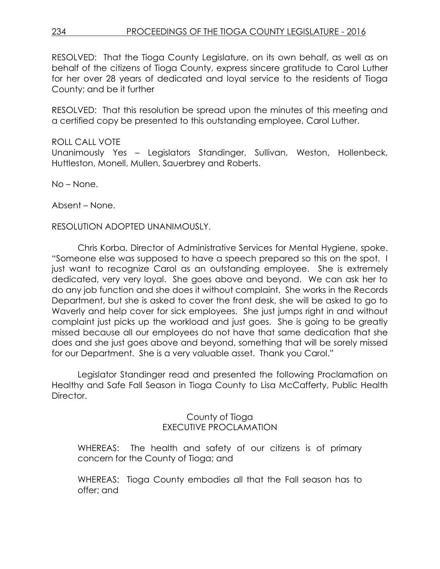RESOLVED: That the Tioga County Legislature, on its own behalf, as well as on behalf of the citizens of Tioga County, express sincere gratitude to Carol Luther for her over 28 years of dedicated and loyal service to the residents of Tioga County; and be it further

RESOLVED: That this resolution be spread upon the minutes of this meeting and a certified copy be presented to this outstanding employee, Carol Luther.

# ROLL CALL VOTE Unanimously Yes – Legislators Standinger, Sullivan, Weston, Hollenbeck, Huttleston, Monell, Mullen, Sauerbrey and Roberts.

No – None.

Absent – None.

# RESOLUTION ADOPTED UNANIMOUSLY.

Chris Korba, Director of Administrative Services for Mental Hygiene, spoke. "Someone else was supposed to have a speech prepared so this on the spot. I just want to recognize Carol as an outstanding employee. She is extremely dedicated, very very loyal. She goes above and beyond. We can ask her to do any job function and she does it without complaint. She works in the Records Department, but she is asked to cover the front desk, she will be asked to go to Waverly and help cover for sick employees. She just jumps right in and without complaint just picks up the workload and just goes. She is going to be greatly missed because all our employees do not have that same dedication that she does and she just goes above and beyond, something that will be sorely missed for our Department. She is a very valuable asset. Thank you Carol."

Legislator Standinger read and presented the following Proclamation on Healthy and Safe Fall Season in Tioga County to Lisa McCafferty, Public Health Director.

# County of Tioga EXECUTIVE PROCLAMATION

WHEREAS: The health and safety of our citizens is of primary concern for the County of Tioga; and

WHEREAS: Tioga County embodies all that the Fall season has to offer; and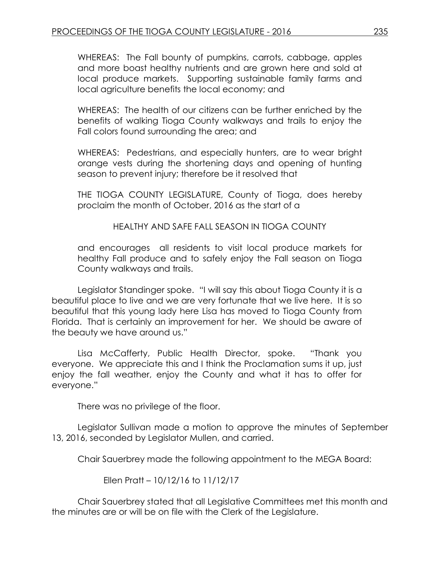WHEREAS: The Fall bounty of pumpkins, carrots, cabbage, apples and more boast healthy nutrients and are grown here and sold at local produce markets. Supporting sustainable family farms and local agriculture benefits the local economy; and

WHEREAS: The health of our citizens can be further enriched by the benefits of walking Tioga County walkways and trails to enjoy the Fall colors found surrounding the area; and

WHEREAS: Pedestrians, and especially hunters, are to wear bright orange vests during the shortening days and opening of hunting season to prevent injury; therefore be it resolved that

THE TIOGA COUNTY LEGISLATURE, County of Tioga, does hereby proclaim the month of October, 2016 as the start of a

HEALTHY AND SAFE FALL SEASON IN TIOGA COUNTY

and encourages all residents to visit local produce markets for healthy Fall produce and to safely enjoy the Fall season on Tioga County walkways and trails.

Legislator Standinger spoke. "I will say this about Tioga County it is a beautiful place to live and we are very fortunate that we live here. It is so beautiful that this young lady here Lisa has moved to Tioga County from Florida. That is certainly an improvement for her. We should be aware of the beauty we have around us."

Lisa McCafferty, Public Health Director, spoke. "Thank you everyone. We appreciate this and I think the Proclamation sums it up, just enjoy the fall weather, enjoy the County and what it has to offer for everyone."

There was no privilege of the floor.

Legislator Sullivan made a motion to approve the minutes of September 13, 2016, seconded by Legislator Mullen, and carried.

Chair Sauerbrey made the following appointment to the MEGA Board:

Ellen Pratt – 10/12/16 to 11/12/17

Chair Sauerbrey stated that all Legislative Committees met this month and the minutes are or will be on file with the Clerk of the Legislature.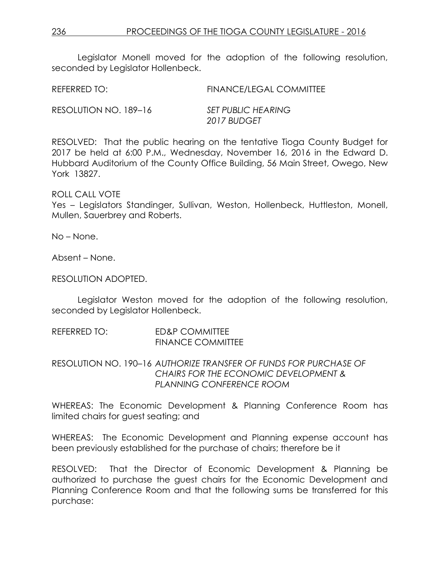Legislator Monell moved for the adoption of the following resolution, seconded by Legislator Hollenbeck.

REFERRED TO: FINANCE/LEGAL COMMITTEE

RESOLUTION NO. 189–16 *SET PUBLIC HEARING*

*2017 BUDGET*

RESOLVED: That the public hearing on the tentative Tioga County Budget for 2017 be held at 6:00 P.M., Wednesday, November 16, 2016 in the Edward D. Hubbard Auditorium of the County Office Building, 56 Main Street, Owego, New York 13827.

ROLL CALL VOTE

Yes – Legislators Standinger, Sullivan, Weston, Hollenbeck, Huttleston, Monell, Mullen, Sauerbrey and Roberts.

No – None.

Absent – None.

RESOLUTION ADOPTED.

Legislator Weston moved for the adoption of the following resolution, seconded by Legislator Hollenbeck.

REFERRED TO: ED&P COMMITTEE FINANCE COMMITTEE

RESOLUTION NO. 190–16 *AUTHORIZE TRANSFER OF FUNDS FOR PURCHASE OF CHAIRS FOR THE ECONOMIC DEVELOPMENT & PLANNING CONFERENCE ROOM*

WHEREAS: The Economic Development & Planning Conference Room has limited chairs for guest seating; and

WHEREAS: The Economic Development and Planning expense account has been previously established for the purchase of chairs; therefore be it

RESOLVED: That the Director of Economic Development & Planning be authorized to purchase the guest chairs for the Economic Development and Planning Conference Room and that the following sums be transferred for this purchase: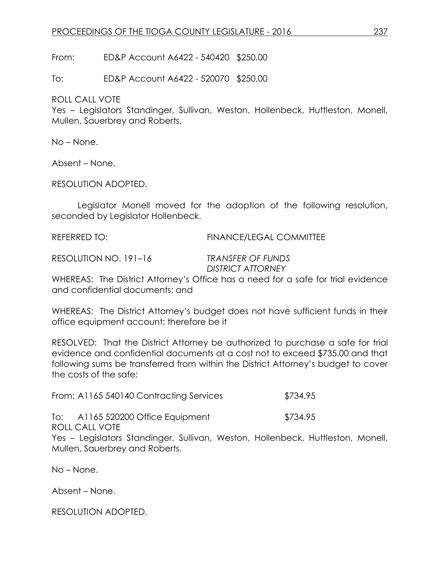From: ED&P Account A6422 - 540420 \$250.00

To: ED&P Account A6422 - 520070 \$250.00

ROLL CALL VOTE

Yes – Legislators Standinger, Sullivan, Weston, Hollenbeck, Huttleston, Monell, Mullen, Sauerbrey and Roberts.

No – None.

Absent – None.

RESOLUTION ADOPTED.

Legislator Monell moved for the adoption of the following resolution, seconded by Legislator Hollenbeck.

REFERRED TO: FINANCE/LEGAL COMMITTEE

RESOLUTION NO. 191–16 *TRANSFER OF FUNDS*

*DISTRICT ATTORNEY*

WHEREAS: The District Attorney's Office has a need for a safe for trial evidence and confidential documents; and

WHEREAS: The District Attorney's budget does not have sufficient funds in their office equipment account; therefore be it

RESOLVED: That the District Attorney be authorized to purchase a safe for trial evidence and confidential documents at a cost not to exceed \$735.00 and that following sums be transferred from within the District Attorney's budget to cover the costs of the safe:

From: A1165 540140 Contracting Services \$734.95

To: A1165 520200 Office Equipment \$734.95

ROLL CALL VOTE

Yes – Legislators Standinger, Sullivan, Weston, Hollenbeck, Huttleston, Monell, Mullen, Sauerbrey and Roberts.

No – None.

Absent – None.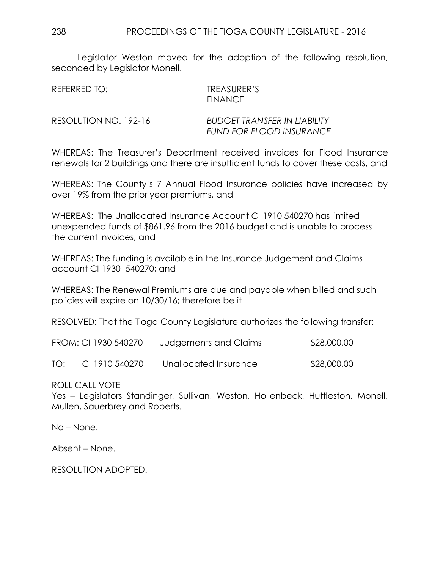Legislator Weston moved for the adoption of the following resolution, seconded by Legislator Monell.

| REFERRED TO:          | TREASURER'S<br><b>FINANCE</b>                                          |
|-----------------------|------------------------------------------------------------------------|
| RESOLUTION NO. 192-16 | <b>BUDGET TRANSFER IN LIABILITY</b><br><b>FUND FOR FLOOD INSURANCE</b> |

WHEREAS: The Treasurer's Department received invoices for Flood Insurance renewals for 2 buildings and there are insufficient funds to cover these costs, and

WHEREAS: The County's 7 Annual Flood Insurance policies have increased by over 19% from the prior year premiums, and

WHEREAS: The Unallocated Insurance Account CI 1910 540270 has limited unexpended funds of \$861.96 from the 2016 budget and is unable to process the current invoices, and

WHEREAS: The funding is available in the Insurance Judgement and Claims account CI 1930 540270; and

WHEREAS: The Renewal Premiums are due and payable when billed and such policies will expire on 10/30/16; therefore be it

RESOLVED: That the Tioga County Legislature authorizes the following transfer:

|     | FROM: CI 1930 540270 | Judgements and Claims | \$28,000.00 |
|-----|----------------------|-----------------------|-------------|
| TO: | CI 1910 540270       | Unallocated Insurance | \$28,000.00 |

ROLL CALL VOTE

Yes – Legislators Standinger, Sullivan, Weston, Hollenbeck, Huttleston, Monell, Mullen, Sauerbrey and Roberts.

No – None.

Absent – None.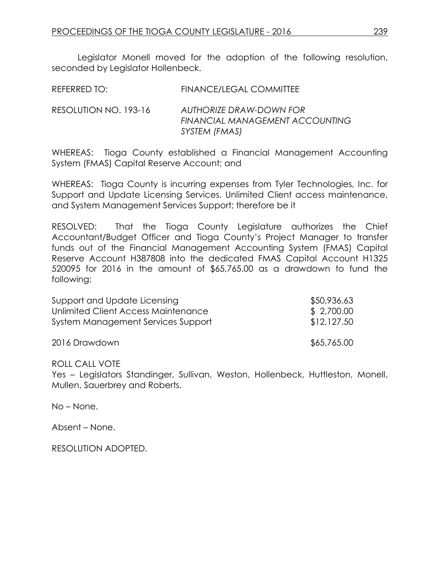Legislator Monell moved for the adoption of the following resolution, seconded by Legislator Hollenbeck.

| <b>REFERRED TO:</b> | <b>FINANCE/LEGAL COMMITTEE</b> |
|---------------------|--------------------------------|
|                     |                                |

RESOLUTION NO. 193-16 *AUTHORIZE DRAW-DOWN FOR FINANCIAL MANAGEMENT ACCOUNTING SYSTEM (FMAS)*

WHEREAS: Tioga County established a Financial Management Accounting System (FMAS) Capital Reserve Account; and

WHEREAS: Tioga County is incurring expenses from Tyler Technologies, Inc. for Support and Update Licensing Services, Unlimited Client access maintenance, and System Management Services Support; therefore be it

RESOLVED: That the Tioga County Legislature authorizes the Chief Accountant/Budget Officer and Tioga County's Project Manager to transfer funds out of the Financial Management Accounting System (FMAS) Capital Reserve Account H387808 into the dedicated FMAS Capital Account H1325 520095 for 2016 in the amount of \$65,765.00 as a drawdown to fund the following:

| Support and Update Licensing        | \$50,936.63 |
|-------------------------------------|-------------|
| Unlimited Client Access Maintenance | \$2,700.00  |
| System Management Services Support  | \$12,127.50 |
| 2016 Drawdown                       | \$65,765.00 |

## ROLL CALL VOTE

Yes – Legislators Standinger, Sullivan, Weston, Hollenbeck, Huttleston, Monell, Mullen, Sauerbrey and Roberts.

No – None.

Absent – None.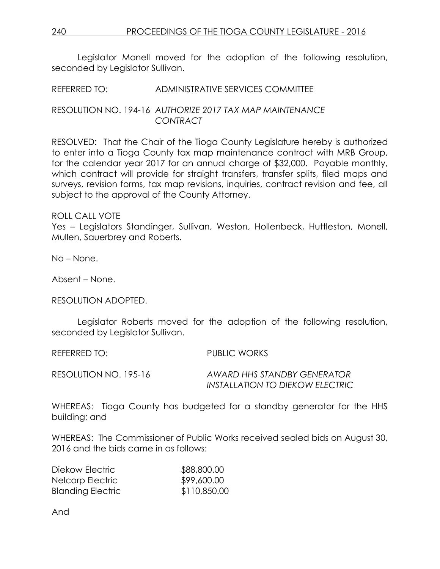Legislator Monell moved for the adoption of the following resolution, seconded by Leaislator Sullivan.

## REFERRED TO: ADMINISTRATIVE SERVICES COMMITTEE

## RESOLUTION NO. 194-16 *AUTHORIZE 2017 TAX MAP MAINTENANCE CONTRACT*

RESOLVED: That the Chair of the Tioga County Legislature hereby is authorized to enter into a Tioga County tax map maintenance contract with MRB Group, for the calendar year 2017 for an annual charge of \$32,000. Payable monthly, which contract will provide for straight transfers, transfer splits, filed maps and surveys, revision forms, tax map revisions, inquiries, contract revision and fee, all subject to the approval of the County Attorney.

## ROLL CALL VOTE

Yes – Legislators Standinger, Sullivan, Weston, Hollenbeck, Huttleston, Monell, Mullen, Sauerbrey and Roberts.

No – None.

Absent – None.

RESOLUTION ADOPTED.

Legislator Roberts moved for the adoption of the following resolution, seconded by Legislator Sullivan.

REFERRED TO: PUBLIC WORKS

RESOLUTION NO. 195-16 *AWARD HHS STANDBY GENERATOR*

*INSTALLATION TO DIEKOW ELECTRIC*

WHEREAS: Tioga County has budgeted for a standby generator for the HHS building; and

WHEREAS: The Commissioner of Public Works received sealed bids on August 30, 2016 and the bids came in as follows:

| Diekow Electric          | \$88,800.00  |
|--------------------------|--------------|
| Nelcorp Electric         | \$99,600.00  |
| <b>Blanding Electric</b> | \$110,850.00 |

And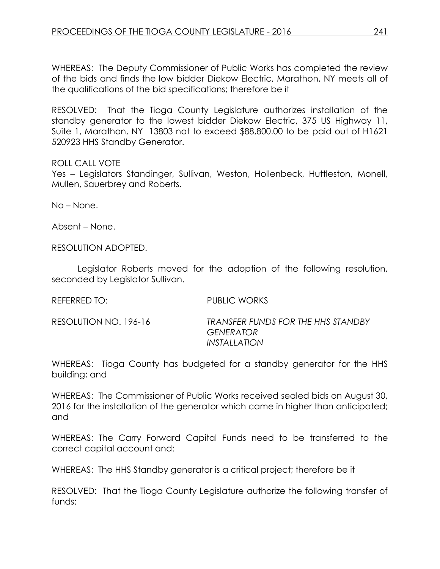WHEREAS: The Deputy Commissioner of Public Works has completed the review of the bids and finds the low bidder Diekow Electric, Marathon, NY meets all of the qualifications of the bid specifications; therefore be it

RESOLVED: That the Tioga County Legislature authorizes installation of the standby generator to the lowest bidder Diekow Electric, 375 US Highway 11, Suite 1, Marathon, NY 13803 not to exceed \$88,800.00 to be paid out of H1621 520923 HHS Standby Generator.

## ROLL CALL VOTE

Yes – Legislators Standinger, Sullivan, Weston, Hollenbeck, Huttleston, Monell, Mullen, Sauerbrey and Roberts.

No – None.

Absent – None.

RESOLUTION ADOPTED.

Legislator Roberts moved for the adoption of the following resolution, seconded by Legislator Sullivan.

REFERRED TO: PUBLIC WORKS

RESOLUTION NO. 196-16 *TRANSFER FUNDS FOR THE HHS STANDBY GENERATOR INSTALLATION*

WHEREAS: Tioga County has budgeted for a standby generator for the HHS building; and

WHEREAS: The Commissioner of Public Works received sealed bids on August 30, 2016 for the installation of the generator which came in higher than anticipated; and

WHEREAS: The Carry Forward Capital Funds need to be transferred to the correct capital account and:

WHEREAS: The HHS Standby generator is a critical project; therefore be it

RESOLVED: That the Tioga County Legislature authorize the following transfer of funds: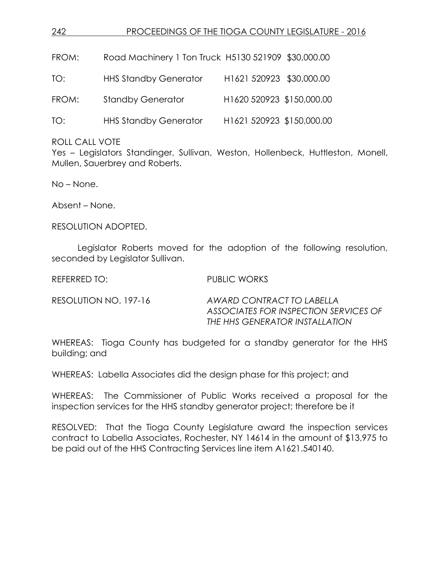| 242   | PROCEEDINGS OF THE TIOGA COUNTY LEGISLATURE - 2016  |                           |  |
|-------|-----------------------------------------------------|---------------------------|--|
|       |                                                     |                           |  |
| FROM: | Road Machinery 1 Ton Truck H5130 521909 \$30,000.00 |                           |  |
| TO:   | <b>HHS Standby Generator</b>                        | H1621 520923 \$30,000.00  |  |
| FROM: | <b>Standby Generator</b>                            | H1620 520923 \$150,000.00 |  |
| TO:   | <b>HHS Standby Generator</b>                        | H1621 520923 \$150,000.00 |  |
|       |                                                     |                           |  |

ROLL CALL VOTE

Yes – Legislators Standinger, Sullivan, Weston, Hollenbeck, Huttleston, Monell, Mullen, Sauerbrey and Roberts.

No – None.

Absent – None.

RESOLUTION ADOPTED.

Legislator Roberts moved for the adoption of the following resolution, seconded by Legislator Sullivan.

REFERRED TO: PUBLIC WORKS

RESOLUTION NO. 197-16 *AWARD CONTRACT TO LABELLA ASSOCIATES FOR INSPECTION SERVICES OF THE HHS GENERATOR INSTALLATION*

WHEREAS: Tioga County has budgeted for a standby generator for the HHS building; and

WHEREAS: Labella Associates did the design phase for this project; and

WHEREAS: The Commissioner of Public Works received a proposal for the inspection services for the HHS standby generator project; therefore be it

RESOLVED: That the Tioga County Legislature award the inspection services contract to Labella Associates, Rochester, NY 14614 in the amount of \$13,975 to be paid out of the HHS Contracting Services line item A1621.540140.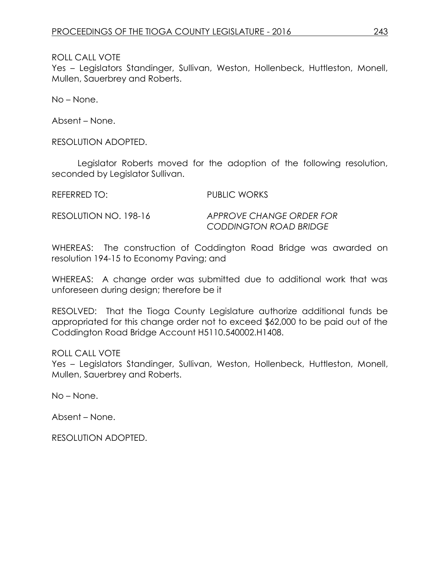ROLL CALL VOTE

Yes – Legislators Standinger, Sullivan, Weston, Hollenbeck, Huttleston, Monell, Mullen, Sauerbrey and Roberts.

No – None.

Absent – None.

RESOLUTION ADOPTED.

Legislator Roberts moved for the adoption of the following resolution, seconded by Legislator Sullivan.

REFERRED TO: PUBLIC WORKS

RESOLUTION NO. 198-16 *APPROVE CHANGE ORDER FOR CODDINGTON ROAD BRIDGE*

WHEREAS: The construction of Coddington Road Bridge was awarded on resolution 194-15 to Economy Paving; and

WHEREAS: A change order was submitted due to additional work that was unforeseen during design; therefore be it

RESOLVED: That the Tioga County Legislature authorize additional funds be appropriated for this change order not to exceed \$62,000 to be paid out of the Coddington Road Bridge Account H5110.540002.H1408.

ROLL CALL VOTE

Yes – Legislators Standinger, Sullivan, Weston, Hollenbeck, Huttleston, Monell, Mullen, Sauerbrey and Roberts.

No – None.

Absent – None.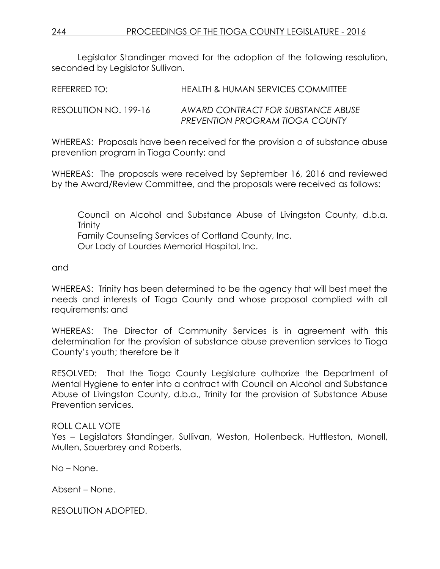Legislator Standinger moved for the adoption of the following resolution, seconded by Legislator Sullivan.

| REFERRED TO:          | HEALTH & HUMAN SERVICES COMMITTEE                                            |
|-----------------------|------------------------------------------------------------------------------|
| RESOLUTION NO. 199-16 | AWARD CONTRACT FOR SUBSTANCE ABUSE<br><b>PREVENTION PROGRAM TIOGA COUNTY</b> |

WHEREAS: Proposals have been received for the provision a of substance abuse prevention program in Tioga County; and

WHEREAS: The proposals were received by September 16, 2016 and reviewed by the Award/Review Committee, and the proposals were received as follows:

Council on Alcohol and Substance Abuse of Livingston County, d.b.a. **Trinity** Family Counseling Services of Cortland County, Inc. Our Lady of Lourdes Memorial Hospital, Inc.

and

WHEREAS: Trinity has been determined to be the agency that will best meet the needs and interests of Tioga County and whose proposal complied with all requirements; and

WHEREAS: The Director of Community Services is in agreement with this determination for the provision of substance abuse prevention services to Tioga County's youth; therefore be it

RESOLVED: That the Tioga County Legislature authorize the Department of Mental Hygiene to enter into a contract with Council on Alcohol and Substance Abuse of Livingston County, d.b.a., Trinity for the provision of Substance Abuse Prevention services.

# ROLL CALL VOTE

Yes – Legislators Standinger, Sullivan, Weston, Hollenbeck, Huttleston, Monell, Mullen, Sauerbrey and Roberts.

No – None.

Absent – None.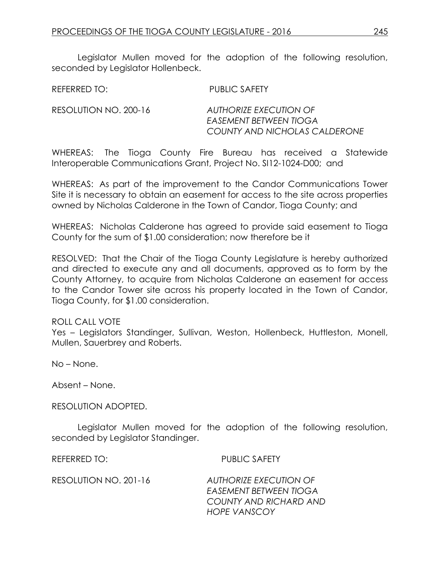Legislator Mullen moved for the adoption of the following resolution, seconded by Legislator Hollenbeck.

REFERRED TO: PUBLIC SAFETY

RESOLUTION NO. 200-16 *AUTHORIZE EXECUTION OF EASEMENT BETWEEN TIOGA COUNTY AND NICHOLAS CALDERONE*

WHEREAS: The Tioga County Fire Bureau has received a Statewide Interoperable Communications Grant, Project No. SI12-1024-D00; and

WHEREAS: As part of the improvement to the Candor Communications Tower Site it is necessary to obtain an easement for access to the site across properties owned by Nicholas Calderone in the Town of Candor, Tioga County; and

WHEREAS: Nicholas Calderone has agreed to provide said easement to Tioga County for the sum of \$1.00 consideration; now therefore be it

RESOLVED: That the Chair of the Tioga County Legislature is hereby authorized and directed to execute any and all documents, approved as to form by the County Attorney, to acquire from Nicholas Calderone an easement for access to the Candor Tower site across his property located in the Town of Candor, Tioga County, for \$1.00 consideration.

## ROLL CALL VOTE

Yes – Legislators Standinger, Sullivan, Weston, Hollenbeck, Huttleston, Monell, Mullen, Sauerbrey and Roberts.

No – None.

Absent – None.

RESOLUTION ADOPTED.

Legislator Mullen moved for the adoption of the following resolution, seconded by Legislator Standinger.

REFERRED TO: PUBLIC SAFETY

*COUNTY AND RICHARD AND*

| RESOLUTION NO. 201-16 | AUTHORIZE EXECUTION OF |
|-----------------------|------------------------|
|                       | EASEMENT BETWEEN TIOGA |
|                       | COUNTY AND RICHARD AN  |
|                       | <b>HOPE VANSCOY</b>    |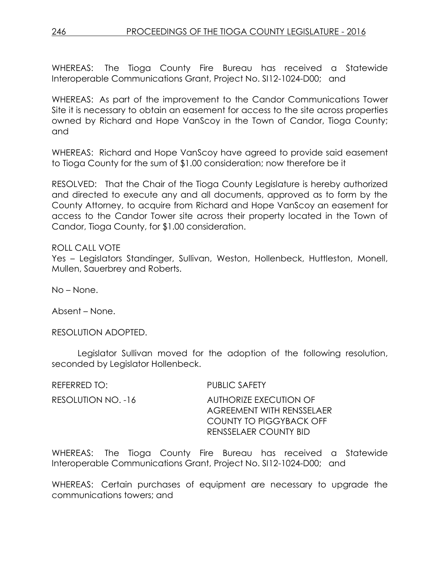246 PROCEEDINGS OF THE TIOGA COUNTY LEGISLATURE - 2016

WHEREAS: The Tioga County Fire Bureau has received a Statewide Interoperable Communications Grant, Project No. SI12-1024-D00; and

WHEREAS: As part of the improvement to the Candor Communications Tower Site it is necessary to obtain an easement for access to the site across properties owned by Richard and Hope VanScoy in the Town of Candor, Tioga County; and

WHEREAS: Richard and Hope VanScoy have agreed to provide said easement to Tioga County for the sum of \$1.00 consideration; now therefore be it

RESOLVED: That the Chair of the Tioga County Legislature is hereby authorized and directed to execute any and all documents, approved as to form by the County Attorney, to acquire from Richard and Hope VanScoy an easement for access to the Candor Tower site across their property located in the Town of Candor, Tioga County, for \$1.00 consideration.

## ROLL CALL VOTE

Yes – Legislators Standinger, Sullivan, Weston, Hollenbeck, Huttleston, Monell, Mullen, Sauerbrey and Roberts.

No – None.

Absent – None.

RESOLUTION ADOPTED.

Legislator Sullivan moved for the adoption of the following resolution, seconded by Legislator Hollenbeck.

| REFERRED TO:       | <b>PUBLIC SAFETY</b>                                                                                                  |
|--------------------|-----------------------------------------------------------------------------------------------------------------------|
| RESOLUTION NO. -16 | AUTHORIZE EXECUTION OF<br><b>AGREEMENT WITH RENSSELAER</b><br>COUNTY TO PIGGYBACK OFF<br><b>RENSSELAER COUNTY BID</b> |

WHEREAS: The Tioga County Fire Bureau has received a Statewide Interoperable Communications Grant, Project No. SI12-1024-D00; and

WHEREAS: Certain purchases of equipment are necessary to upgrade the communications towers; and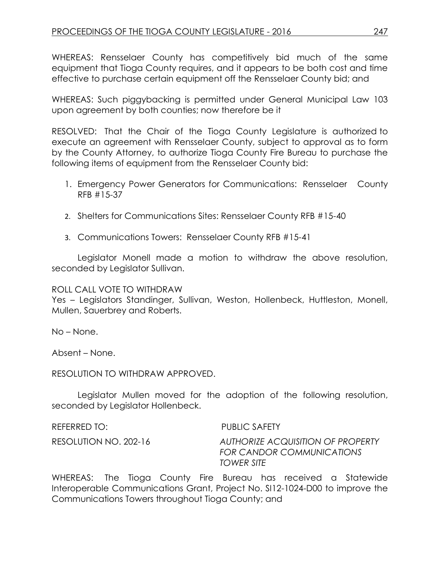WHEREAS: Rensselaer County has competitively bid much of the same equipment that Tioga County requires, and it appears to be both cost and time effective to purchase certain equipment off the Rensselaer County bid; and

WHEREAS: Such piggybacking is permitted under General Municipal Law 103 upon agreement by both counties; now therefore be it

RESOLVED: That the Chair of the Tioga County Legislature is authorized to execute an agreement with Rensselaer County, subject to approval as to form by the County Attorney, to authorize Tioga County Fire Bureau to purchase the following items of equipment from the Rensselaer County bid:

- 1. Emergency Power Generators for Communications: Rensselaer County RFB #15-37
- 2. Shelters for Communications Sites: Rensselaer County RFB #15-40
- 3. Communications Towers: Rensselaer County RFB #15-41

Legislator Monell made a motion to withdraw the above resolution, seconded by Legislator Sullivan.

ROLL CALL VOTE TO WITHDRAW

Yes – Legislators Standinger, Sullivan, Weston, Hollenbeck, Huttleston, Monell, Mullen, Sauerbrey and Roberts.

No – None.

Absent – None.

RESOLUTION TO WITHDRAW APPROVED.

Legislator Mullen moved for the adoption of the following resolution, seconded by Legislator Hollenbeck.

| REFERRED TO:          | <b>PUBLIC SAFETY</b>                                                         |
|-----------------------|------------------------------------------------------------------------------|
| RESOLUTION NO. 202-16 | AUTHORIZE ACQUISITION OF PROPERTY<br>FOR CANDOR COMMUNICATIONS<br>TOWER SITE |

WHEREAS: The Tioga County Fire Bureau has received a Statewide Interoperable Communications Grant, Project No. SI12-1024-D00 to improve the Communications Towers throughout Tioga County; and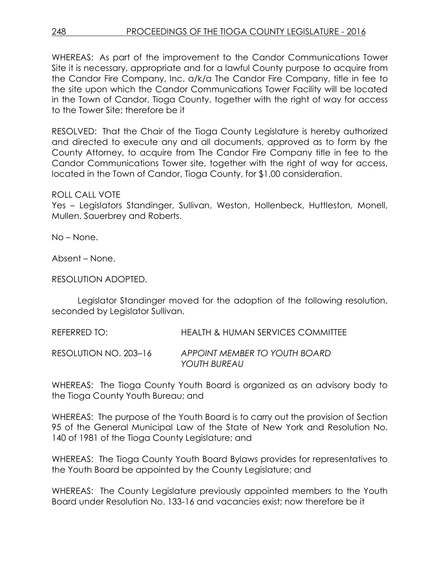WHEREAS: As part of the improvement to the Candor Communications Tower Site it is necessary, appropriate and for a lawful County purpose to acquire from the Candor Fire Company, Inc. a/k/a The Candor Fire Company, title in fee to the site upon which the Candor Communications Tower Facility will be located in the Town of Candor, Tioga County, together with the right of way for access to the Tower Site; therefore be it

RESOLVED: That the Chair of the Tioga County Legislature is hereby authorized and directed to execute any and all documents, approved as to form by the County Attorney, to acquire from The Candor Fire Company title in fee to the Candor Communications Tower site, together with the right of way for access, located in the Town of Candor, Tioga County, for \$1.00 consideration.

## ROLL CALL VOTE

Yes – Legislators Standinger, Sullivan, Weston, Hollenbeck, Huttleston, Monell, Mullen, Sauerbrey and Roberts.

No – None.

Absent – None.

RESOLUTION ADOPTED.

Legislator Standinger moved for the adoption of the following resolution, seconded by Legislator Sullivan.

REFERRED TO: HEALTH & HUMAN SERVICES COMMITTEE

RESOLUTION NO. 203–16 *APPOINT MEMBER TO YOUTH BOARD YOUTH BUREAU*

WHEREAS: The Tioga County Youth Board is organized as an advisory body to the Tioga County Youth Bureau; and

WHEREAS: The purpose of the Youth Board is to carry out the provision of Section 95 of the General Municipal Law of the State of New York and Resolution No. 140 of 1981 of the Tioga County Legislature; and

WHEREAS: The Tioga County Youth Board Bylaws provides for representatives to the Youth Board be appointed by the County Legislature; and

WHEREAS: The County Legislature previously appointed members to the Youth Board under Resolution No. 133-16 and vacancies exist; now therefore be it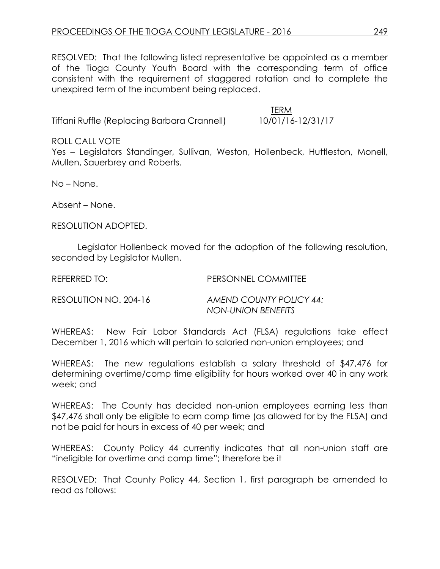RESOLVED: That the following listed representative be appointed as a member of the Tioga County Youth Board with the corresponding term of office consistent with the requirement of staggered rotation and to complete the unexpired term of the incumbent being replaced.

Tiffani Ruffle (Replacing Barbara Crannell) 10/01/16-12/31/17

TERM

ROLL CALL VOTE

Yes – Legislators Standinger, Sullivan, Weston, Hollenbeck, Huttleston, Monell, Mullen, Sauerbrey and Roberts.

No – None.

Absent – None.

RESOLUTION ADOPTED.

Legislator Hollenbeck moved for the adoption of the following resolution, seconded by Legislator Mullen.

REFERRED TO: PERSONNEL COMMITTEE

RESOLUTION NO. 204-16 *AMEND COUNTY POLICY 44: NON-UNION BENEFITS*

WHEREAS: New Fair Labor Standards Act (FLSA) regulations take effect December 1, 2016 which will pertain to salaried non-union employees; and

WHEREAS: The new regulations establish a salary threshold of \$47,476 for determining overtime/comp time eligibility for hours worked over 40 in any work week; and

WHEREAS: The County has decided non-union employees earning less than \$47,476 shall only be eligible to earn comp time (as allowed for by the FLSA) and not be paid for hours in excess of 40 per week; and

WHEREAS: County Policy 44 currently indicates that all non-union staff are "ineligible for overtime and comp time"; therefore be it

RESOLVED: That County Policy 44, Section 1, first paragraph be amended to read as follows: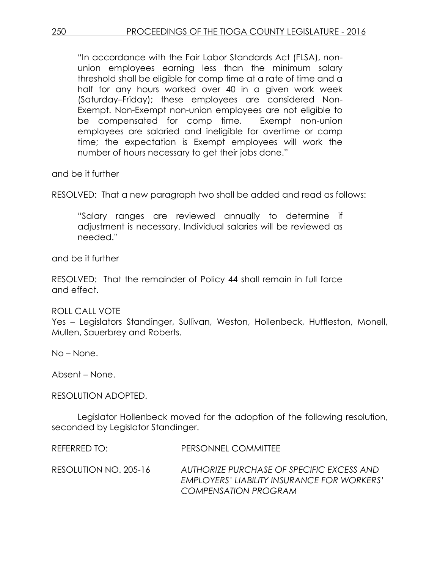"In accordance with the Fair Labor Standards Act (FLSA), nonunion employees earning less than the minimum salary threshold shall be eligible for comp time at a rate of time and a half for any hours worked over 40 in a given work week (Saturday–Friday); these employees are considered Non-Exempt. Non-Exempt non-union employees are not eligible to be compensated for comp time. Exempt non-union employees are salaried and ineligible for overtime or comp time; the expectation is Exempt employees will work the number of hours necessary to get their jobs done."

and be it further

RESOLVED: That a new paragraph two shall be added and read as follows:

"Salary ranges are reviewed annually to determine if adjustment is necessary. Individual salaries will be reviewed as needed."

and be it further

RESOLVED: That the remainder of Policy 44 shall remain in full force and effect.

# ROLL CALL VOTE

Yes – Legislators Standinger, Sullivan, Weston, Hollenbeck, Huttleston, Monell, Mullen, Sauerbrey and Roberts.

No – None.

Absent – None.

## RESOLUTION ADOPTED.

Legislator Hollenbeck moved for the adoption of the following resolution, seconded by Legislator Standinger.

REFERRED TO: PERSONNEL COMMITTEE

RESOLUTION NO. 205-16 *AUTHORIZE PURCHASE OF SPECIFIC EXCESS AND EMPLOYERS' LIABILITY INSURANCE FOR WORKERS' COMPENSATION PROGRAM*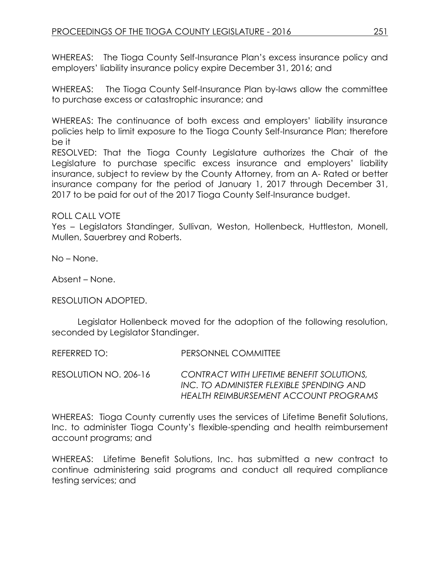WHEREAS: The Tioga County Self-Insurance Plan's excess insurance policy and employers' liability insurance policy expire December 31, 2016; and

WHEREAS: The Tioga County Self-Insurance Plan by-laws allow the committee to purchase excess or catastrophic insurance; and

WHEREAS: The continuance of both excess and employers' liability insurance policies help to limit exposure to the Tioga County Self-Insurance Plan; therefore be it

RESOLVED: That the Tioga County Legislature authorizes the Chair of the Legislature to purchase specific excess insurance and employers' liability insurance, subject to review by the County Attorney, from an A- Rated or better insurance company for the period of January 1, 2017 through December 31, 2017 to be paid for out of the 2017 Tioga County Self-Insurance budget.

ROLL CALL VOTE

Yes – Legislators Standinger, Sullivan, Weston, Hollenbeck, Huttleston, Monell, Mullen, Sauerbrey and Roberts.

No – None.

Absent – None.

RESOLUTION ADOPTED.

Legislator Hollenbeck moved for the adoption of the following resolution, seconded by Legislator Standinger.

REFERRED TO: PERSONNEL COMMITTEE

RESOLUTION NO. 206-16 *CONTRACT WITH LIFETIME BENEFIT SOLUTIONS, INC. TO ADMINISTER FLEXIBLE SPENDING AND HEALTH REIMBURSEMENT ACCOUNT PROGRAMS*

WHEREAS: Tioga County currently uses the services of Lifetime Benefit Solutions, Inc. to administer Tioga County's flexible-spending and health reimbursement account programs; and

WHEREAS: Lifetime Benefit Solutions, Inc. has submitted a new contract to continue administering said programs and conduct all required compliance testing services; and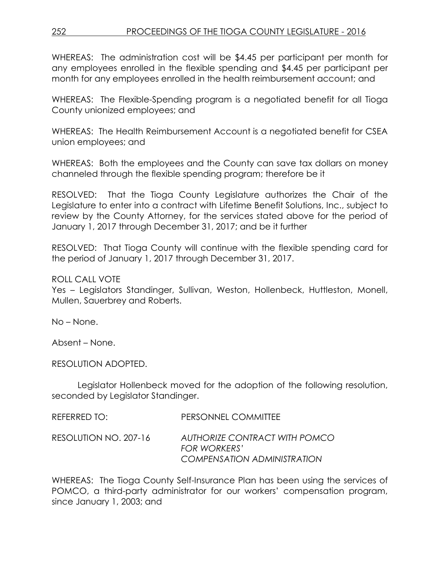WHEREAS: The administration cost will be \$4.45 per participant per month for any employees enrolled in the flexible spending and \$4.45 per participant per month for any employees enrolled in the health reimbursement account; and

WHEREAS: The Flexible-Spending program is a negotiated benefit for all Tioga County unionized employees; and

WHEREAS: The Health Reimbursement Account is a negotiated benefit for CSEA union employees; and

WHEREAS: Both the employees and the County can save tax dollars on money channeled through the flexible spending program; therefore be it

RESOLVED: That the Tioga County Legislature authorizes the Chair of the Legislature to enter into a contract with Lifetime Benefit Solutions, Inc., subject to review by the County Attorney, for the services stated above for the period of January 1, 2017 through December 31, 2017; and be it further

RESOLVED: That Tioga County will continue with the flexible spending card for the period of January 1, 2017 through December 31, 2017.

# ROLL CALL VOTE

Yes – Legislators Standinger, Sullivan, Weston, Hollenbeck, Huttleston, Monell, Mullen, Sauerbrey and Roberts.

No – None.

Absent – None.

RESOLUTION ADOPTED.

Legislator Hollenbeck moved for the adoption of the following resolution, seconded by Legislator Standinger.

| REFERRED TO: I        | PERSONNEL COMMITTEE                                                                        |
|-----------------------|--------------------------------------------------------------------------------------------|
| RESOLUTION NO. 207-16 | AUTHORIZE CONTRACT WITH POMCO<br><b>FOR WORKERS'</b><br><b>COMPENSATION ADMINISTRATION</b> |

WHEREAS: The Tioga County Self-Insurance Plan has been using the services of POMCO, a third-party administrator for our workers' compensation program, since January 1, 2003; and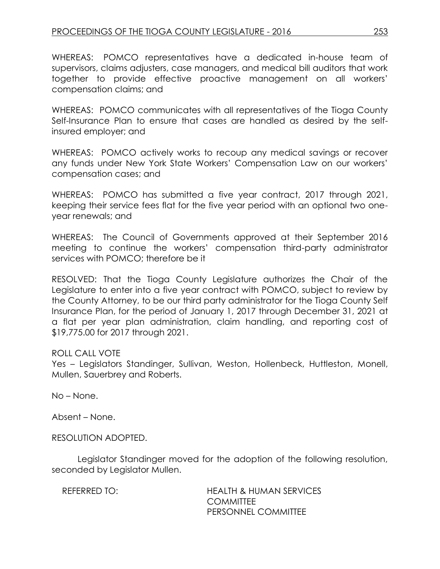WHEREAS: POMCO representatives have a dedicated in-house team of supervisors, claims adjusters, case managers, and medical bill auditors that work together to provide effective proactive management on all workers' compensation claims; and

WHEREAS: POMCO communicates with all representatives of the Tioga County Self-Insurance Plan to ensure that cases are handled as desired by the selfinsured employer; and

WHEREAS: POMCO actively works to recoup any medical savings or recover any funds under New York State Workers' Compensation Law on our workers' compensation cases; and

WHEREAS: POMCO has submitted a five year contract, 2017 through 2021, keeping their service fees flat for the five year period with an optional two oneyear renewals; and

WHEREAS: The Council of Governments approved at their September 2016 meeting to continue the workers' compensation third-party administrator services with POMCO; therefore be it

RESOLVED: That the Tioga County Legislature authorizes the Chair of the Legislature to enter into a five year contract with POMCO, subject to review by the County Attorney, to be our third party administrator for the Tioga County Self Insurance Plan, for the period of January 1, 2017 through December 31, 2021 at a flat per year plan administration, claim handling, and reporting cost of \$19,775.00 for 2017 through 2021.

# ROLL CALL VOTE

Yes – Legislators Standinger, Sullivan, Weston, Hollenbeck, Huttleston, Monell, Mullen, Sauerbrey and Roberts.

No – None.

Absent – None.

RESOLUTION ADOPTED.

Legislator Standinger moved for the adoption of the following resolution, seconded by Legislator Mullen.

REFERRED TO: HEALTH & HUMAN SERVICES **COMMITTEE** PERSONNEL COMMITTEE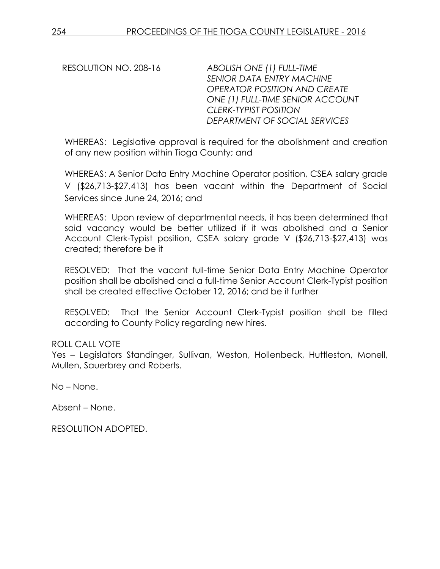RESOLUTION NO. 208-16 *ABOLISH ONE (1) FULL-TIME SENIOR DATA ENTRY MACHINE OPERATOR POSITION AND CREATE ONE (1) FULL-TIME SENIOR ACCOUNT CLERK-TYPIST POSITION DEPARTMENT OF SOCIAL SERVICES* 

WHEREAS: Legislative approval is required for the abolishment and creation of any new position within Tioga County; and

WHEREAS: A Senior Data Entry Machine Operator position, CSEA salary grade V (\$26,713-\$27,413) has been vacant within the Department of Social Services since June 24, 2016; and

WHEREAS: Upon review of departmental needs, it has been determined that said vacancy would be better utilized if it was abolished and a Senior Account Clerk-Typist position, CSEA salary grade V (\$26,713-\$27,413) was created; therefore be it

RESOLVED: That the vacant full-time Senior Data Entry Machine Operator position shall be abolished and a full-time Senior Account Clerk-Typist position shall be created effective October 12, 2016; and be it further

RESOLVED: That the Senior Account Clerk-Typist position shall be filled according to County Policy regarding new hires.

# ROLL CALL VOTE

Yes – Legislators Standinger, Sullivan, Weston, Hollenbeck, Huttleston, Monell, Mullen, Sauerbrey and Roberts.

No – None.

Absent – None.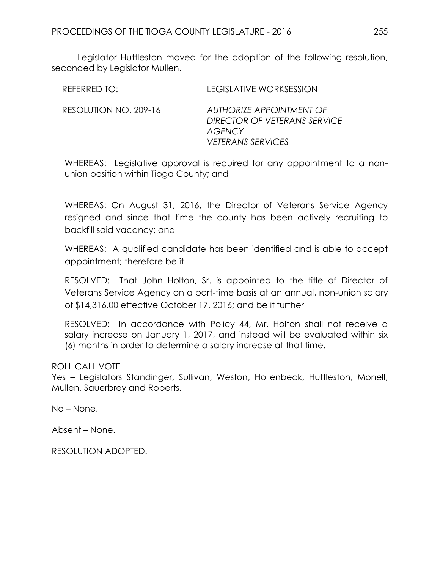Legislator Huttleston moved for the adoption of the following resolution, seconded by Legislator Mullen.

| REFERRED TO:          | <b>LEGISLATIVE WORKSESSION</b>                                                                 |
|-----------------------|------------------------------------------------------------------------------------------------|
| RESOLUTION NO. 209-16 | AUTHORIZE APPOINTMENT OF<br>DIRECTOR OF VETERANS SERVICE<br>AGENCY<br><b>VETERANS SERVICES</b> |

WHEREAS: Legislative approval is required for any appointment to a nonunion position within Tioga County; and

WHEREAS: On August 31, 2016, the Director of Veterans Service Agency resigned and since that time the county has been actively recruiting to backfill said vacancy; and

WHEREAS: A qualified candidate has been identified and is able to accept appointment; therefore be it

RESOLVED: That John Holton, Sr. is appointed to the title of Director of Veterans Service Agency on a part-time basis at an annual, non-union salary of \$14,316.00 effective October 17, 2016; and be it further

RESOLVED: In accordance with Policy 44, Mr. Holton shall not receive a salary increase on January 1, 2017, and instead will be evaluated within six (6) months in order to determine a salary increase at that time.

# ROLL CALL VOTE

Yes – Legislators Standinger, Sullivan, Weston, Hollenbeck, Huttleston, Monell, Mullen, Sauerbrey and Roberts.

No – None.

Absent – None.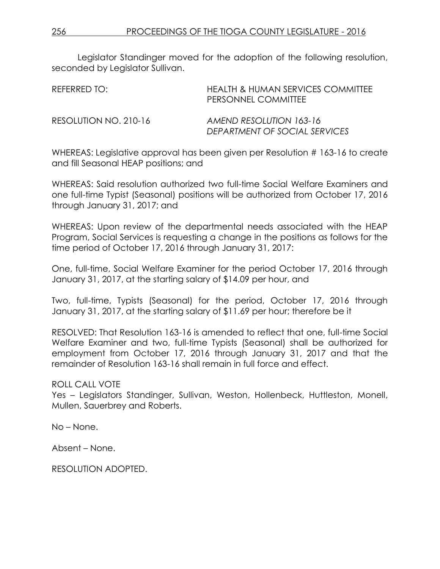Legislator Standinger moved for the adoption of the following resolution, seconded by Legislator Sullivan.

| REFERRED TO:          | <b>HEALTH &amp; HUMAN SERVICES COMMITTEE</b><br>PERSONNEL COMMITTEE |
|-----------------------|---------------------------------------------------------------------|
| RESOLUTION NO. 210-16 | AMEND RESOLUTION 163-16<br>DEPARTMENT OF SOCIAL SERVICES            |

WHEREAS: Legislative approval has been given per Resolution # 163-16 to create and fill Seasonal HEAP positions; and

WHEREAS: Said resolution authorized two full-time Social Welfare Examiners and one full-time Typist (Seasonal) positions will be authorized from October 17, 2016 through January 31, 2017; and

WHEREAS: Upon review of the departmental needs associated with the HEAP Program, Social Services is requesting a change in the positions as follows for the time period of October 17, 2016 through January 31, 2017:

One, full-time, Social Welfare Examiner for the period October 17, 2016 through January 31, 2017, at the starting salary of \$14.09 per hour, and

Two, full-time, Typists (Seasonal) for the period, October 17, 2016 through January 31, 2017, at the starting salary of \$11.69 per hour; therefore be it

RESOLVED: That Resolution 163-16 is amended to reflect that one, full-time Social Welfare Examiner and two, full-time Typists (Seasonal) shall be authorized for employment from October 17, 2016 through January 31, 2017 and that the remainder of Resolution 163-16 shall remain in full force and effect.

# ROLL CALL VOTE

Yes – Legislators Standinger, Sullivan, Weston, Hollenbeck, Huttleston, Monell, Mullen, Sauerbrey and Roberts.

No – None.

Absent – None.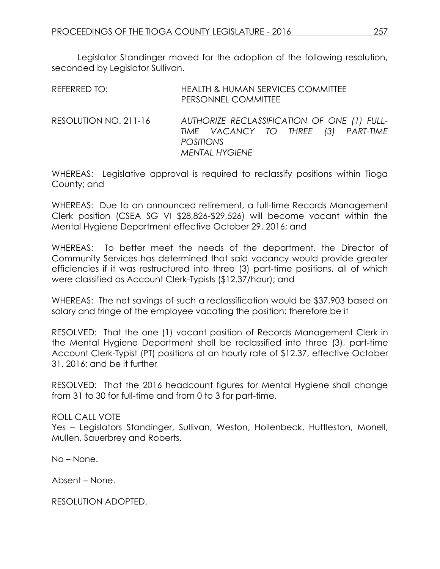Legislator Standinger moved for the adoption of the following resolution, seconded by Legislator Sullivan.

| REFERRED TO:          | <b>HEALTH &amp; HUMAN SERVICES COMMITTEE</b><br>PERSONNEL COMMITTEE                                                             |
|-----------------------|---------------------------------------------------------------------------------------------------------------------------------|
| RESOLUTION NO. 211-16 | AUTHORIZE RECLASSIFICATION OF ONE (1) FULL-<br>TIME VACANCY TO THREE (3) PART-TIME<br><b>POSITIONS</b><br><b>MENTAL HYGIENE</b> |

WHEREAS: Legislative approval is required to reclassify positions within Tioga County; and

WHEREAS: Due to an announced retirement, a full-time Records Management Clerk position (CSEA SG VI \$28,826-\$29,526) will become vacant within the Mental Hygiene Department effective October 29, 2016; and

WHEREAS: To better meet the needs of the department, the Director of Community Services has determined that said vacancy would provide greater efficiencies if it was restructured into three (3) part-time positions, all of which were classified as Account Clerk-Typists (\$12.37/hour); and

WHEREAS: The net savings of such a reclassification would be \$37,903 based on salary and fringe of the employee vacating the position; therefore be it

RESOLVED: That the one (1) vacant position of Records Management Clerk in the Mental Hygiene Department shall be reclassified into three (3), part-time Account Clerk-Typist (PT) positions at an hourly rate of \$12.37, effective October 31, 2016; and be it further

RESOLVED: That the 2016 headcount figures for Mental Hygiene shall change from 31 to 30 for full-time and from 0 to 3 for part-time.

# ROLL CALL VOTE

Yes – Legislators Standinger, Sullivan, Weston, Hollenbeck, Huttleston, Monell, Mullen, Sauerbrey and Roberts.

No – None.

Absent – None.